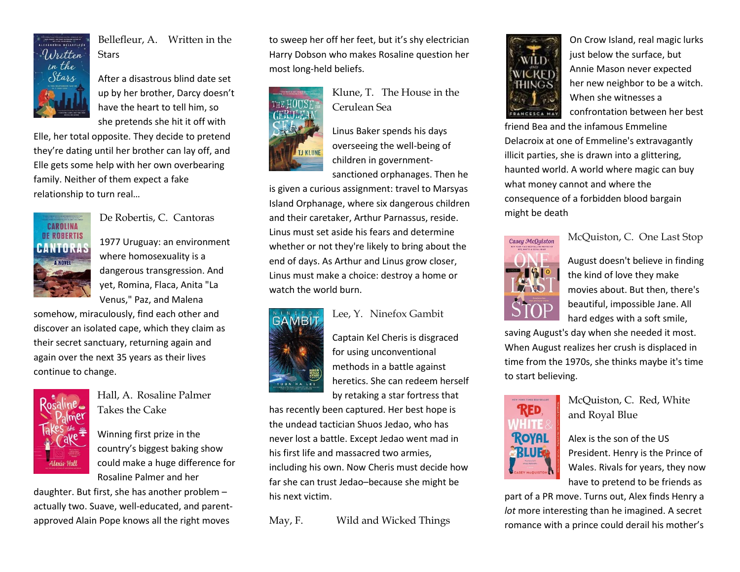

Bellefleur, A. Written in the **Stars** 

After a disastrous blind date set up by her brother, Darcy doesn't have the heart to tell him, so she pretends she hit it off with

Elle, her total opposite. They decide to pretend they're dating until her brother can lay off, and Elle gets some help with her own overbearing family. Neither of them expect a fake relationship to turn real…



De Robertis, C. Cantoras

1977 Uruguay: an environment where homosexuality is a dangerous transgression. And yet, Romina, Flaca, Anita "La Venus," Paz, and Malena

somehow, miraculously, find each other and discover an isolated cape, which they claim as their secret sanctuary, returning again and again over the next 35 years as their lives continue to change.



Hall, A. Rosaline Palmer Takes the Cake

Winning first prize in the country's biggest baking show could make a huge difference for Rosaline Palmer and her

daughter. But first, she has another problem – actually two. Suave, well-educated, and parentapproved Alain Pope knows all the right moves

to sweep her off her feet, but it's shy electrician Harry Dobson who makes Rosaline question her most long-held beliefs.



Klune, T. The House in the Cerulean Sea

Linus Baker spends his days overseeing the well-being of children in government-

sanctioned orphanages. Then he

is given a curious assignment: travel to Marsyas Island Orphanage, where six dangerous children and their caretaker, Arthur Parnassus, reside. Linus must set aside his fears and determine whether or not they're likely to bring about the end of days. As Arthur and Linus grow closer, Linus must make a choice: destroy a home or watch the world burn.





Captain Kel Cheris is disgraced for using unconventional methods in a battle against heretics. She can redeem herself by retaking a star fortress that

has recently been captured. Her best hope is the undead tactician Shuos Jedao, who has never lost a battle. Except Jedao went mad in his first life and massacred two armies, including his own. Now Cheris must decide how far she can trust Jedao–because she might be his next victim.

May, F. Wild and Wicked Things



On Crow Island, real magic lurks just below the surface, but Annie Mason never expected her new neighbor to be a witch. When she witnesses a confrontation between her best

friend Bea and the infamous Emmeline Delacroix at one of Emmeline's extravagantly illicit parties, she is drawn into a glittering, haunted world. A world where magic can buy what money cannot and where the consequence of a forbidden blood bargain might be death



McQuiston, C. One Last Stop

August doesn't believe in finding the kind of love they make movies about. But then, there's beautiful, impossible Jane. All hard edges with a soft smile,

saving August's day when she needed it most. When August realizes her crush is displaced in time from the 1970s, she thinks maybe it's time to start believing.



McQuiston, C. Red, White and Royal Blue

Alex is the son of the US President. Henry is the Prince of Wales. Rivals for years, they now have to pretend to be friends as

part of a PR move. Turns out, Alex finds Henry a *lot* more interesting than he imagined. A secret romance with a prince could derail his mother's